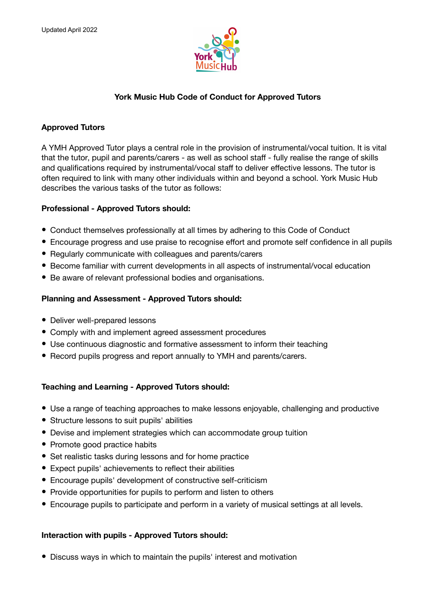

# **York Music Hub Code of Conduct for Approved Tutors**

## **Approved Tutors**

A YMH Approved Tutor plays a central role in the provision of instrumental/vocal tuition. It is vital that the tutor, pupil and parents/carers - as well as school staff - fully realise the range of skills and qualifications required by instrumental/vocal staff to deliver effective lessons. The tutor is often required to link with many other individuals within and beyond a school. York Music Hub describes the various tasks of the tutor as follows:

## **Professional - Approved Tutors should:**

- Conduct themselves professionally at all times by adhering to this Code of Conduct
- Encourage progress and use praise to recognise effort and promote self confidence in all pupils
- Regularly communicate with colleagues and parents/carers
- Become familiar with current developments in all aspects of instrumental/vocal education
- Be aware of relevant professional bodies and organisations.

## **Planning and Assessment - Approved Tutors should:**

- Deliver well-prepared lessons
- Comply with and implement agreed assessment procedures
- Use continuous diagnostic and formative assessment to inform their teaching
- Record pupils progress and report annually to YMH and parents/carers.

# **Teaching and Learning - Approved Tutors should:**

- Use a range of teaching approaches to make lessons enjoyable, challenging and productive
- Structure lessons to suit pupils' abilities
- Devise and implement strategies which can accommodate group tuition
- Promote good practice habits
- Set realistic tasks during lessons and for home practice
- Expect pupils' achievements to reflect their abilities
- Encourage pupils' development of constructive self-criticism
- Provide opportunities for pupils to perform and listen to others
- Encourage pupils to participate and perform in a variety of musical settings at all levels.

# **Interaction with pupils - Approved Tutors should:**

• Discuss ways in which to maintain the pupils' interest and motivation